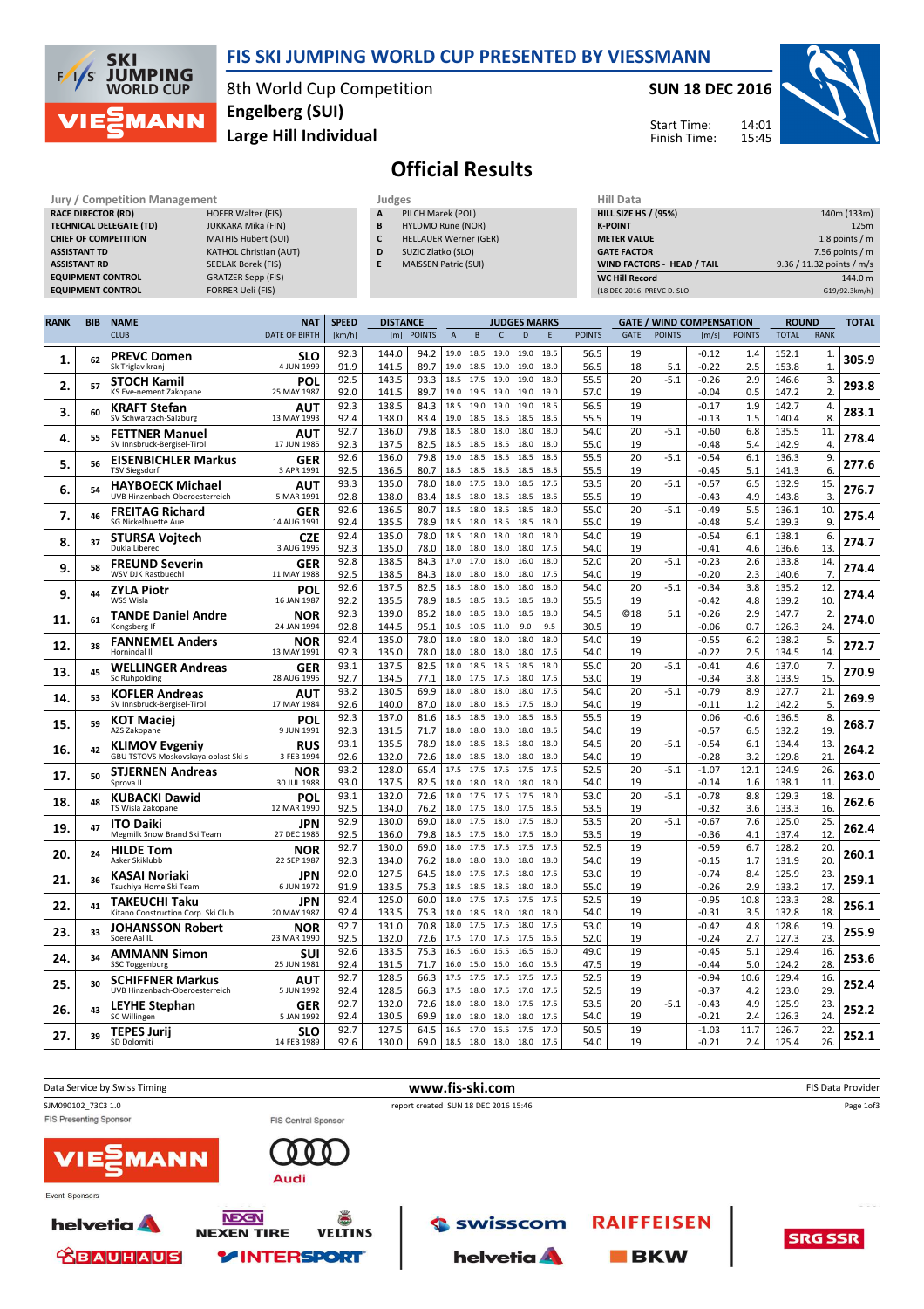

### FIS SKI JUMPING WORLD CUP PRESENTED BY VIESSMANN

8th World Cup Competition Large Hill Individual Engelberg (SUI)

#### SUN 18 DEC 2016

Start Time: Finish Time:



# Official Results

| <b>Jury / Competition Management</b> |                               |   | Judges                       | <b>Hill Data</b>   |
|--------------------------------------|-------------------------------|---|------------------------------|--------------------|
| <b>RACE DIRECTOR (RD)</b>            | <b>HOFER Walter (FIS)</b>     | A | PILCH Marek (POL)            | <b>HILL SIZE H</b> |
| <b>TECHNICAL DELEGATE (TD)</b>       | JUKKARA Mika (FIN)            | B | <b>HYLDMO Rune (NOR)</b>     | <b>K-POINT</b>     |
| <b>CHIEF OF COMPETITION</b>          | <b>MATHIS Hubert (SUI)</b>    |   | <b>HELLAUER Werner (GER)</b> | <b>METER VAI</b>   |
| <b>ASSISTANT TD</b>                  | <b>KATHOL Christian (AUT)</b> | D | SUZIC Zlatko (SLO)           | <b>GATE FACT</b>   |
| <b>ASSISTANT RD</b>                  | <b>SEDLAK Borek (FIS)</b>     |   | <b>MAISSEN Patric (SUI)</b>  | <b>WIND FACT</b>   |
| <b>EQUIPMENT CONTROL</b>             | <b>GRATZER Sepp (FIS)</b>     |   |                              | <b>WC Hill Red</b> |
| <b>EQUIPMENT CONTROL</b>             | <b>FORRER Ueli (FIS)</b>      |   |                              | (18 DEC 2016       |

| Hill Data                         |                           |
|-----------------------------------|---------------------------|
| <b>HILL SIZE HS / (95%)</b>       | 140m (133m)               |
| <b>K-POINT</b>                    | 125m                      |
| <b>METER VALUE</b>                | 1.8 points $/m$           |
| <b>GATE FACTOR</b>                | 7.56 points $/m$          |
| <b>WIND FACTORS - HEAD / TAIL</b> | 9.36 / 11.32 points / m/s |
| <b>WC Hill Record</b>             | 144.0 m                   |
| (18 DEC 2016 PREVC D. SLO         | G19/92.3km/h)             |

| <b>RANK</b> | <b>BIB</b> | <b>NAME</b>                                                | <b>NAT</b>                | <b>SPEED</b> | <b>DISTANCE</b> |               |                |                |                   | <b>JUDGES MARKS</b> |              |               |                  | <b>GATE / WIND COMPENSATION</b> |                    |               |                | <b>ROUND</b>       |       |
|-------------|------------|------------------------------------------------------------|---------------------------|--------------|-----------------|---------------|----------------|----------------|-------------------|---------------------|--------------|---------------|------------------|---------------------------------|--------------------|---------------|----------------|--------------------|-------|
|             |            | <b>CLUB</b>                                                | <b>DATE OF BIRTH</b>      | [km/h]       | [m]             | <b>POINTS</b> | $\overline{A}$ | B              | $\mathsf{C}$      | D                   | E            | <b>POINTS</b> | <b>GATE</b>      | <b>POINTS</b>                   | [m/s]              | <b>POINTS</b> | <b>TOTAL</b>   | <b>RANK</b>        |       |
| 1.          | 62         | <b>PREVC Domen</b><br>Sk Triglav kranj                     | <b>SLO</b><br>4 JUN 1999  | 92.3<br>91.9 | 144.0<br>141.5  | 94.2<br>89.7  | 19.0<br>19.0   | 18.5<br>18.5   | 19.0<br>19.0      | 19.0<br>19.0        | 18.5<br>18.0 | 56.5<br>56.5  | 19<br>18         | 5.1                             | $-0.12$<br>$-0.22$ | 1.4<br>2.5    | 152.1<br>153.8 | 1.<br>$\mathbf{1}$ | 305.9 |
| 2.          | 57         | <b>STOCH Kamil</b><br>KS Eve-nement Zakopane               | POL<br>25 MAY 1987        | 92.5<br>92.0 | 143.5<br>141.5  | 93.3<br>89.7  | 18.5<br>19.0   | 17.5<br>19.5   | 19.0<br>19.0      | 19.0<br>19.0        | 18.0<br>19.0 | 55.5<br>57.0  | 20<br>19         | $-5.1$                          | $-0.26$<br>$-0.04$ | 2.9<br>0.5    | 146.6<br>147.2 | 3.<br>2.           | 293.8 |
| З.          | 60         | <b>KRAFT Stefan</b>                                        | AUT                       | 92.3         | 138.5           | 84.3          | 18.5           | 19.0           | 19.0              | 19.0                | 18.5         | 56.5          | 19               |                                 | $-0.17$            | 1.9           | 142.7          | 4.                 | 283.1 |
|             |            | SV Schwarzach-Salzburg                                     | 13 MAY 1993               | 92.4<br>92.7 | 138.0<br>136.0  | 83.4<br>79.8  | 19.0<br>18.5   | 18.5<br>18.0   | 18.5<br>18.0      | 18.5<br>18.0        | 18.5<br>18.0 | 55.5<br>54.0  | 19<br>20         | $-5.1$                          | $-0.13$<br>$-0.60$ | 1.5<br>6.8    | 140.4<br>135.5 | 8.<br>11.          |       |
| 4.          | 55         | <b>FETTNER Manuel</b><br>SV Innsbruck-Bergisel-Tirol       | AUT<br>17 JUN 1985        | 92.3         | 137.5           | 82.5          | 18.5           | 18.5           | 18.5              | 18.0                | 18.0         | 55.0          | 19               |                                 | $-0.48$            | 5.4           | 142.9          | 4.                 | 278.4 |
| 5.          | 56         | <b>EISENBICHLER Markus</b><br><b>TSV Siegsdorf</b>         | GER<br>3 APR 1991         | 92.6<br>92.5 | 136.0<br>136.5  | 79.8<br>80.7  | 19.0<br>18.5   | 18.5<br>18.5   | 18.5<br>18.5      | 18.5<br>18.5        | 18.5<br>18.5 | 55.5<br>55.5  | 20<br>19         | $-5.1$                          | $-0.54$<br>$-0.45$ | 6.1<br>5.1    | 136.3<br>141.3 | 9.<br>6.           | 277.6 |
| 6.          | 54         | <b>HAYBOECK Michael</b>                                    | AUT                       | 93.3         | 135.0           | 78.0          | 18.0           | 17.5           | 18.0              | 18.5                | 17.5         | 53.5          | 20               | $-5.1$                          | $-0.57$            | 6.5           | 132.9          | 15                 | 276.7 |
|             |            | UVB Hinzenbach-Oberoesterreich<br><b>FREITAG Richard</b>   | 5 MAR 1991<br>GER         | 92.8<br>92.6 | 138.0<br>136.5  | 83.4<br>80.7  | 18.5<br>18.5   | 18.0<br>18.0   | 18.5<br>18.5      | 18.5<br>18.5        | 18.5<br>18.0 | 55.5<br>55.0  | 19<br>20         | $-5.1$                          | $-0.43$<br>$-0.49$ | 4.9<br>5.5    | 143.8<br>136.1 | 3.<br>10.          |       |
| 7.          | 46         | SG Nickelhuette Aue                                        | 14 AUG 1991               | 92.4         | 135.5           | 78.9          | 18.5           | 18.0           | 18.5              | 18.5                | 18.0         | 55.0          | 19               |                                 | $-0.48$            | 5.4           | 139.3          | 9.                 | 275.4 |
| 8.          | 37         | <b>STURSA Voitech</b><br>Dukla Liberec                     | <b>CZE</b><br>3 AUG 1995  | 92.4<br>92.3 | 135.0<br>135.0  | 78.0<br>78.0  | 18.5<br>18.0   | 18.0<br>18.0   | 18.0<br>18.0      | 18.0<br>18.0        | 18.0<br>17.5 | 54.0<br>54.0  | 19<br>19         |                                 | $-0.54$<br>$-0.41$ | 6.1<br>4.6    | 138.1<br>136.6 | 6.<br>13           | 274.7 |
|             |            | <b>FREUND Severin</b>                                      | GER                       | 92.8         | 138.5           | 84.3          | 17.0           | 17.0           | 18.0              | 16.0                | 18.0         | 52.0          | 20               | $-5.1$                          | $-0.23$            | 2.6           | 133.8          | 14.                |       |
| 9.          | 58         | <b>WSV DJK Rastbuechl</b>                                  | 11 MAY 1988               | 92.5         | 138.5           | 84.3          | 18.0           | 18.0           | 18.0              | 18.0                | 17.5         | 54.0          | 19               |                                 | $-0.20$            | 2.3           | 140.6          | 7.                 | 274.4 |
| 9.          | 44         | <b>ZYLA Piotr</b>                                          | POL                       | 92.6         | 137.5           | 82.5          | 18.5           | 18.0           | 18.0              | 18.0                | 18.0         | 54.0          | 20               | $-5.1$                          | $-0.34$            | 3.8           | 135.2          | 12.                | 274.4 |
|             |            | WSS Wisla                                                  | 16 JAN 1987               | 92.2<br>92.3 | 135.5<br>139.0  | 78.9<br>85.2  | 18.5<br>18.0   | 18.5<br>18.5   | 18.5<br>18.0      | 18.5<br>18.5        | 18.0<br>18.0 | 55.5<br>54.5  | 19<br><b>©18</b> | 5.1                             | $-0.42$<br>$-0.26$ | 4.8<br>2.9    | 139.2<br>147.7 | 10.<br>2.          |       |
| 11.         | 61         | <b>TANDE Daniel Andre</b><br>Kongsberg If                  | NOR<br>24 JAN 1994        | 92.8         | 144.5           | 95.1          | 10.5           | 10.5           | 11.0              | 9.0                 | 9.5          | 30.5          | 19               |                                 | $-0.06$            | 0.7           | 126.3          | 24.                | 274.0 |
| 12.         | 38         | <b>FANNEMEL Anders</b><br>Hornindal II                     | NOR<br>13 MAY 1991        | 92.4<br>92.3 | 135.0<br>135.0  | 78.0<br>78.0  | 18.0<br>18.0   | 18.0<br>18.0   | 18.0<br>18.0      | 18.0<br>18.0        | 18.0<br>17.5 | 54.0<br>54.0  | 19<br>19         |                                 | $-0.55$<br>$-0.22$ | 6.2<br>2.5    | 138.2<br>134.5 | 5.<br>14           | 272.7 |
| 13.         | 45         | <b>WELLINGER Andreas</b>                                   | GER                       | 93.1         | 137.5           | 82.5          | 18.0           | 18.5           | 18.5              | 18.5                | 18.0         | 55.0          | 20               | $-5.1$                          | $-0.41$            | 4.6           | 137.0          | 7.                 | 270.9 |
|             |            | Sc Ruhpolding                                              | 28 AUG 1995               | 92.7<br>93.2 | 134.5<br>130.5  | 77.1<br>69.9  | 18.0<br>18.0   | 17.5<br>18.0   | 17.5<br>18.0      | 18.0<br>18.0        | 17.5<br>17.5 | 53.0<br>54.0  | 19<br>20         | $-5.1$                          | $-0.34$<br>$-0.79$ | 3.8<br>8.9    | 133.9<br>127.7 | 15<br>21.          |       |
| 14.         | 53         | <b>KOFLER Andreas</b><br>SV Innsbruck-Bergisel-Tirol       | AUT<br>17 MAY 1984        | 92.6         | 140.0           | 87.0          | 18.0           | 18.0           | 18.5              | 17.5                | 18.0         | 54.0          | 19               |                                 | $-0.11$            | 1.2           | 142.2          | 5.                 | 269.9 |
| 15.         | 59         | <b>KOT Maciei</b><br>AZS Zakopane                          | POL<br>9 JUN 1991         | 92.3<br>92.3 | 137.0<br>131.5  | 81.6<br>71.7  | 18.5<br>18.0   | 18.5<br>18.0   | 19.0<br>18.0 18.0 | 18.5                | 18.5<br>18.5 | 55.5<br>54.0  | 19<br>19         |                                 | 0.06<br>-0.57      | $-0.6$<br>6.5 | 136.5<br>132.2 | 8.<br>19           | 268.7 |
|             |            | <b>KLIMOV Evgeniy</b>                                      | <b>RUS</b>                | 93.1         | 135.5           | 78.9          | 18.0           | 18.5           | 18.5              | 18.0                | 18.0         | 54.5          | 20               | $-5.1$                          | $-0.54$            | 6.1           | 134.4          | 13.                |       |
| 16.         | 42         | GBU TSTOVS Moskovskaya oblast Ski s                        | 3 FEB 1994                | 92.6         | 132.0           | 72.6          | 18.0           | 18.5           | 18.0              | 18.0                | 18.0         | 54.0          | 19               |                                 | $-0.28$            | 3.2           | 129.8          | 21                 | 264.2 |
| 17.         | 50         | <b>STJERNEN Andreas</b><br>Sprova II.                      | NOR<br>30 JUL 1988        | 93.2<br>93.0 | 128.0<br>137.5  | 65.4<br>82.5  | 17.5<br>18.0   | 17.5<br>18.0   | 17.5<br>18.0      | 17.5<br>18.0        | 17.5<br>18.0 | 52.5<br>54.0  | 20<br>19         | $-5.1$                          | $-1.07$<br>$-0.14$ | 12.1<br>1.6   | 124.9<br>138.1 | 26.<br>11          | 263.0 |
|             | 48         | KUBACKI Dawid                                              | POL                       | 93.1         | 132.0           | 72.6          | 18.0           | 17.5           | 17.5              | 17.5                | 18.0         | 53.0          | 20               | $-5.1$                          | $-0.78$            | 8.8           | 129.3          | 18                 | 262.6 |
| 18.         |            | TS Wisla Zakopane                                          | 12 MAR 1990               | 92.5         | 134.0           | 76.2          |                | 18.0 17.5      | 18.0 17.5         |                     | 18.5         | 53.5          | 19               |                                 | -0.32              | 3.6           | 133.3          | 16.                |       |
| 19.         | 47         | <b>ITO Daiki</b><br>Megmilk Snow Brand Ski Team            | JPN<br>27 DEC 1985        | 92.9<br>92.5 | 130.0<br>136.0  | 69.0<br>79.8  | 18.0<br>18.5   | 17.5<br>17.5   | 18.0<br>18.0      | 17.5<br>17.5        | 18.0<br>18.0 | 53.5<br>53.5  | 20<br>19         | $-5.1$                          | $-0.67$<br>$-0.36$ | 7.6<br>4.1    | 125.0<br>137.4 | 25.<br>12          | 262.4 |
| 20.         | 24         | <b>HILDE Tom</b><br>Asker Skiklubb                         | NOR<br>22 SEP 1987        | 92.7<br>92.3 | 130.0<br>134.0  | 69.0<br>76.2  | 18.0<br>18.0   | 17.5<br>18.0   | 17.5<br>18.0      | 17.5<br>18.0        | 17.5<br>18.0 | 52.5<br>54.0  | 19<br>19         |                                 | $-0.59$<br>$-0.15$ | 6.7<br>1.7    | 128.2<br>131.9 | 20.<br>20.         | 260.1 |
|             |            | KASAI Noriaki                                              | <b>JPN</b>                | 92.0         | 127.5           | 64.5          | 18.0           | 17.5           | 17.5              | 18.0                | 17.5         | 53.0          | 19               |                                 | $-0.74$            | 8.4           | 125.9          | 23.                |       |
| 21.         | 36         | Tsuchiya Home Ski Team                                     | 6 JUN 1972                | 91.9         | 133.5           | 75.3          | 18.5           | 18.5           | 18.5              | 18.0                | 18.0         | 55.0          | 19               |                                 | $-0.26$            | 2.9           | 133.2          | 17                 | 259.1 |
| 22.         | 41         | <b>TAKEUCHI Taku</b><br>Kitano Construction Corp. Ski Club | JPN<br>20 MAY 1987        | 92.4<br>92.4 | 125.0<br>133.5  | 60.0<br>75.3  | 18.0<br>18.0   | 17.5<br>18.5   | 17.5<br>18.0      | 17.5<br>18.0        | 17.5<br>18.0 | 52.5<br>54.0  | 19<br>19         |                                 | $-0.95$<br>$-0.31$ | 10.8<br>3.5   | 123.3<br>132.8 | 28.<br>18          | 256.1 |
|             |            | <b>JOHANSSON Robert</b>                                    | NOR                       | 92.7         | 131.0           | 70.8          | 18.0           | 17.5           | 17.5              | 18.0                | 17.5         | 53.0          | 19               |                                 | $-0.42$            | 4.8           | 128.6          | 19.                |       |
| 23.         | 33         | Soere Aal IL                                               | 23 MAR 1990               | 92.5         | 132.0           | 72.6          | 17.5           | 17.0           | 17.5              | 17.5                | 16.5         | 52.0          | 19               |                                 | $-0.24$            | 2.7           | 127.3          | 23                 | 255.9 |
| 24.         | 34         | <b>AMMANN Simon</b><br>SSC Toggenburg                      | <b>SUI</b><br>25 JUN 1981 | 92.6<br>92.4 | 133.5<br>131.5  | 75.3<br>71.7  | 16.5<br>16.0   | 16.0<br>15.0   | 16.5<br>16.0      | 16.5<br>16.0        | 16.0<br>15.5 | 49.0<br>47.5  | 19<br>19         |                                 | $-0.45$<br>$-0.44$ | 5.1<br>5.0    | 129.4<br>124.2 | 16.<br>28          | 253.6 |
|             |            | <b>SCHIFFNER Markus</b>                                    | AUT                       | 92.7         | 128.5           | 66.3          | 17.5           | 17.5           | 17.5              | 17.5                | 17.5         | 52.5          | 19               |                                 | $-0.94$            | 10.6          | 129.4          | 16.                |       |
| 25.         | 30         | UVB Hinzenbach-Oberoesterreich                             | 5 JUN 1992                | 92.4         | 128.5           | 66.3          | 17.5           | 18.0           | 17.5              | 17.0                | 17.5         | 52.5          | 19               |                                 | $-0.37$            | 4.2           | 123.0          | 29                 | 252.4 |
| 26.         | 43         | <b>LEYHE Stephan</b><br>SC Willingen                       | GER<br>5 JAN 1992         | 92.7<br>92.4 | 132.0<br>130.5  | 72.6<br>69.9  | 18.0<br>18.0   | 18.0<br>18.0   | 18.0<br>18.0      | 17.5<br>18.0        | 17.5<br>17.5 | 53.5<br>54.0  | 20<br>19         | $-5.1$                          | $-0.43$<br>$-0.21$ | 4.9<br>2.4    | 125.9<br>126.3 | 23<br>24.          | 252.2 |
|             |            | <b>TEPES Jurij</b>                                         | <b>SLO</b>                | 92.7         | 127.5           | 64.5          | 16.5           | 17.0           | 16.5              | 17.5                | 17.0         | 50.5          | 19               |                                 | $-1.03$            | 11.7          | 126.7          | 22.                |       |
| 27.         | 39         | SD Dolomiti                                                | 14 FEB 1989               | 92.6         | 130.0           | 69.0          | 18.5           | 18.0 18.0 18.0 |                   |                     | 17.5         | 54.0          | 19               |                                 | $-0.21$            | 2.4           | 125.4          | 26.                | 252.1 |

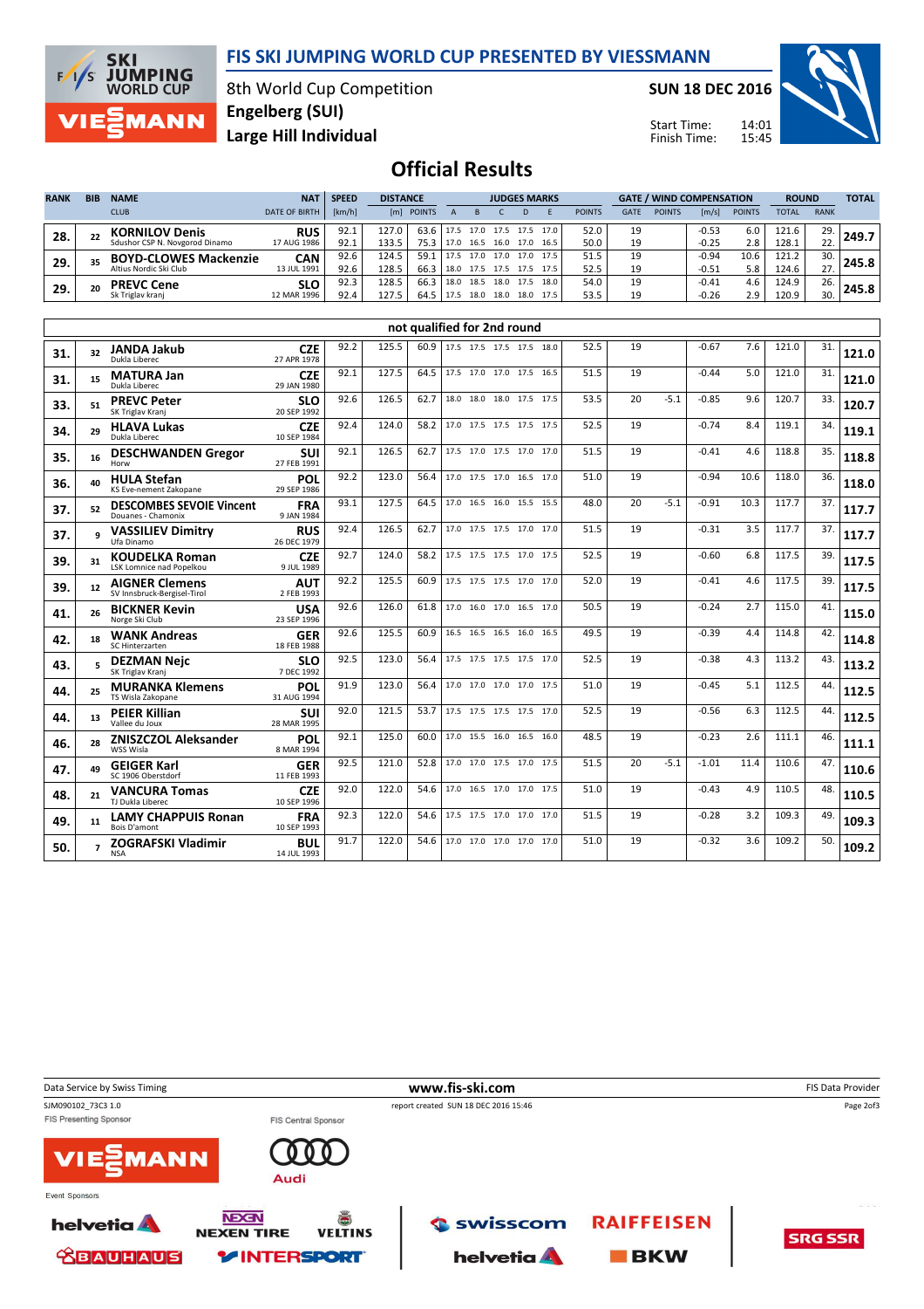

**SKI JUMPING**<br>WORLD CUP  $F/1/S$ **MANN** 

8th World Cup Competition Large Hill Individual Engelberg (SUI)

SUN 18 DEC 2016

Start Time: Finish Time:



## Official Results

| <b>RANK</b> | <b>BIB</b> | <b>NAME</b>                    | <b>NAT</b>           | <b>SPEED</b> | <b>DISTANCE</b> |               |      | <b>JUDGES MARKS</b> |      |      |           |               | <b>GATE / WIND COMPENSATION</b> |               |         |               | <b>ROUND</b> |             | <b>TOTAL</b> |
|-------------|------------|--------------------------------|----------------------|--------------|-----------------|---------------|------|---------------------|------|------|-----------|---------------|---------------------------------|---------------|---------|---------------|--------------|-------------|--------------|
|             |            | <b>CLUB</b>                    | <b>DATE OF BIRTH</b> | [km/h]       | [m]             | <b>POINTS</b> |      |                     |      |      |           | <b>POINTS</b> | <b>GATE</b>                     | <b>POINTS</b> | [m/s]   | <b>POINTS</b> | <b>TOTAL</b> | <b>RANK</b> |              |
| 28.         | 22         | <b>KORNILOV Denis</b>          | <b>RUS</b>           | 92.1         | 127.0           | 63.6          | 17.5 | 17.0                | 17.5 | 17.5 | 17.0 l    | 52.0          | 19                              |               | $-0.53$ | 6.0           | 121.6        | 29.         | 249.7        |
|             |            | Sdushor CSP N. Novgorod Dinamo | 17 AUG 1986          | 92.1         | 133.5           | 75.3          | 17.0 | 16.5                | 16.0 | 17.0 | 16.5      | 50.0          | 19                              |               | $-0.25$ | 2.8           | 128.1        | 22.         |              |
| 29.         | 35         | <b>BOYD-CLOWES Mackenzie</b>   | CAN                  | 92.6         | 124.5           | 59.1          | 17.5 | 17.0                | 17.0 |      | 17.0 17.5 | 51.5          | 19                              |               | $-0.94$ | 10.6          | 121.2        | 30.         | 245.8        |
|             |            | Altius Nordic Ski Club         | 13 JUL 1991          | 92.6         | 128.5           | 66.3          | 18.0 | 17.5                | 17.5 | 17.5 | 17.5      | 52.5          | 19                              |               | $-0.51$ | 5.8           | 124.6        | 27.         |              |
| 29.         | 20         | <b>PREVC Cene</b>              | <b>SLO</b>           | 92.3         | 128.5           | 66.3          | 18.0 | 18.5                | 18.0 | 17.5 | 18.0      | 54.0          | 19                              |               | $-0.41$ | 4.6           | 124.9        | 26.         |              |
|             |            | Sk Triglav krani               | 12 MAR 1996          | 92.4         | 127.5           | 64.5          |      | 18.0                | 18.0 |      | 18.0 17.5 | 53.5          | 19                              |               | $-0.26$ | 2.9           | 120.9        | 30.         |              |

|     | not qualified for 2nd round<br>17.5 17.5 17.5 17.5 18.0 |                                                       |                           |      |       |      |  |                          |  |  |      |      |    |        |         |      |       |     |       |
|-----|---------------------------------------------------------|-------------------------------------------------------|---------------------------|------|-------|------|--|--------------------------|--|--|------|------|----|--------|---------|------|-------|-----|-------|
| 31. | 32                                                      | <b>JANDA Jakub</b><br>Dukla Liberec                   | <b>CZE</b><br>27 APR 1978 | 92.2 | 125.5 | 60.9 |  |                          |  |  |      | 52.5 | 19 |        | $-0.67$ | 7.6  | 121.0 | 31. | 121.0 |
| 31. | 15                                                      | <b>MATURA Jan</b><br>Dukla Liberec                    | <b>CZE</b><br>29 JAN 1980 | 92.1 | 127.5 | 64.5 |  | 17.5 17.0 17.0 17.5 16.5 |  |  |      | 51.5 | 19 |        | $-0.44$ | 5.0  | 121.0 | 31. | 121.0 |
| 33. | 51                                                      | <b>PREVC Peter</b><br>SK Triglav Kranj                | <b>SLO</b><br>20 SEP 1992 | 92.6 | 126.5 | 62.7 |  | 18.0 18.0 18.0 17.5 17.5 |  |  |      | 53.5 | 20 | $-5.1$ | $-0.85$ | 9.6  | 120.7 | 33. | 120.7 |
| 34. | 29                                                      | <b>HLAVA Lukas</b><br>Dukla Liberec                   | <b>CZE</b><br>10 SEP 1984 | 92.4 | 124.0 | 58.2 |  | 17.0 17.5 17.5 17.5 17.5 |  |  |      | 52.5 | 19 |        | $-0.74$ | 8.4  | 119.1 | 34. | 119.1 |
| 35. | 16                                                      | <b>DESCHWANDEN Gregor</b>                             | <b>SUI</b><br>27 FEB 1991 | 92.1 | 126.5 | 62.7 |  | 17.5 17.0 17.5 17.0 17.0 |  |  |      | 51.5 | 19 |        | $-0.41$ | 4.6  | 118.8 | 35. | 118.8 |
| 36. | 40                                                      | <b>HULA Stefan</b><br>KS Eve-nement Zakopane          | POL<br>29 SEP 1986        | 92.2 | 123.0 | 56.4 |  | 17.0 17.5 17.0 16.5 17.0 |  |  |      | 51.0 | 19 |        | $-0.94$ | 10.6 | 118.0 | 36. | 118.0 |
| 37. | 52                                                      | <b>DESCOMBES SEVOIE Vincent</b><br>Douanes - Chamonix | <b>FRA</b><br>9 JAN 1984  | 93.1 | 127.5 | 64.5 |  | 17.0 16.5 16.0 15.5 15.5 |  |  |      | 48.0 | 20 | $-5.1$ | $-0.91$ | 10.3 | 117.7 | 37. | 117.7 |
| 37. |                                                         | <b>VASSILIEV Dimitry</b><br>Ufa Dinamo                | <b>RUS</b><br>26 DEC 1979 | 92.4 | 126.5 | 62.7 |  | 17.0 17.5 17.5 17.0      |  |  | 17.0 | 51.5 | 19 |        | $-0.31$ | 3.5  | 117.7 | 37. | 117.7 |
| 39. | 31                                                      | <b>KOUDELKA Roman</b><br>LSK Lomnice nad Popelkou     | <b>CZE</b><br>9 JUL 1989  | 92.7 | 124.0 | 58.2 |  | 17.5 17.5 17.5 17.0 17.5 |  |  |      | 52.5 | 19 |        | $-0.60$ | 6.8  | 117.5 | 39. | 117.5 |
| 39. | 12                                                      | <b>AIGNER Clemens</b><br>SV Innsbruck-Bergisel-Tirol  | <b>AUT</b><br>2 FEB 1993  | 92.2 | 125.5 | 60.9 |  | 17.5 17.5 17.5 17.0      |  |  | 17.0 | 52.0 | 19 |        | $-0.41$ | 4.6  | 117.5 | 39. | 117.5 |
| 41. | 26                                                      | <b>BICKNER Kevin</b><br>Norge Ski Club                | <b>USA</b><br>23 SEP 1996 | 92.6 | 126.0 | 61.8 |  | 17.0 16.0 17.0 16.5 17.0 |  |  |      | 50.5 | 19 |        | $-0.24$ | 2.7  | 115.0 | 41. | 115.0 |
| 42. | 18                                                      | <b>WANK Andreas</b><br>SC Hinterzarten                | <b>GER</b><br>18 FEB 1988 | 92.6 | 125.5 | 60.9 |  | 16.5 16.5 16.5 16.0 16.5 |  |  |      | 49.5 | 19 |        | $-0.39$ | 4.4  | 114.8 | 42. | 114.8 |
| 43. |                                                         | <b>DEZMAN Nejc</b><br>SK Triglav Kranj                | <b>SLO</b><br>7 DEC 1992  | 92.5 | 123.0 | 56.4 |  | 17.5 17.5 17.5 17.5 17.0 |  |  |      | 52.5 | 19 |        | $-0.38$ | 4.3  | 113.2 | 43. | 113.2 |
| 44. | 25                                                      | <b>MURANKA Klemens</b><br>TS Wisla Zakopane           | POL<br>31 AUG 1994        | 91.9 | 123.0 | 56.4 |  | 17.0 17.0 17.0 17.0 17.5 |  |  |      | 51.0 | 19 |        | $-0.45$ | 5.1  | 112.5 | 44. | 112.5 |
| 44. | 13                                                      | <b>PEIER Killian</b><br>Vallee du Joux                | <b>SUI</b><br>28 MAR 1995 | 92.0 | 121.5 | 53.7 |  | 17.5 17.5 17.5 17.5 17.0 |  |  |      | 52.5 | 19 |        | $-0.56$ | 6.3  | 112.5 | 44. | 112.5 |
| 46. | 28                                                      | <b>ZNISZCZOL Aleksander</b><br>WSS Wisla              | POL<br>8 MAR 1994         | 92.1 | 125.0 | 60.0 |  | 17.0 15.5 16.0 16.5 16.0 |  |  |      | 48.5 | 19 |        | $-0.23$ | 2.6  | 111.1 | 46. | 111.1 |
| 47. | 49                                                      | <b>GEIGER Karl</b><br>SC 1906 Oberstdorf              | <b>GER</b><br>11 FEB 1993 | 92.5 | 121.0 | 52.8 |  | 17.0 17.0 17.5 17.0 17.5 |  |  |      | 51.5 | 20 | $-5.1$ | $-1.01$ | 11.4 | 110.6 | 47. | 110.6 |
| 48. | 21                                                      | <b>VANCURA Tomas</b><br>TJ Dukla Liberec              | <b>CZE</b><br>10 SEP 1996 | 92.0 | 122.0 | 54.6 |  | 17.0 16.5 17.0 17.0 17.5 |  |  |      | 51.0 | 19 |        | $-0.43$ | 4.9  | 110.5 | 48. | 110.5 |
| 49. | 11                                                      | <b>LAMY CHAPPUIS Ronan</b><br>Bois D'amont            | <b>FRA</b><br>10 SEP 1993 | 92.3 | 122.0 | 54.6 |  | 17.5 17.5 17.0 17.0 17.0 |  |  |      | 51.5 | 19 |        | $-0.28$ | 3.2  | 109.3 | 49. | 109.3 |
| 50. |                                                         | <b>ZOGRAFSKI Vladimir</b><br><b>NSA</b>               | <b>BUL</b><br>14 JUL 1993 | 91.7 | 122.0 | 54.6 |  | 17.0 17.0 17.0 17.0 17.0 |  |  |      | 51.0 | 19 |        | $-0.32$ | 3.6  | 109.2 | 50. | 109.2 |